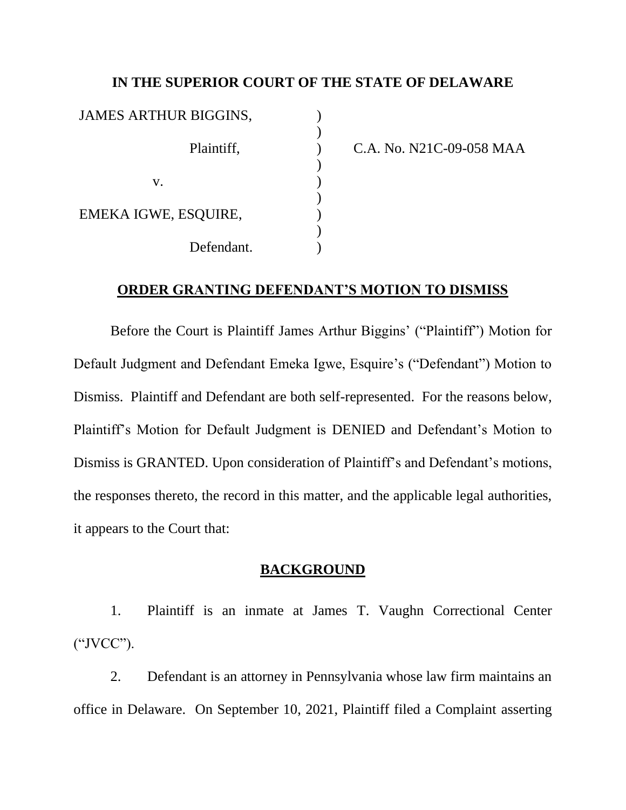# **IN THE SUPERIOR COURT OF THE STATE OF DELAWARE**

| JAMES ARTHUR BIGGINS, |  |
|-----------------------|--|
| Plaintiff,            |  |
| V.                    |  |
| EMEKA IGWE, ESQUIRE,  |  |
| Defendant.            |  |

) C.A. No. N21C-09-058 MAA

## **ORDER GRANTING DEFENDANT'S MOTION TO DISMISS**

Before the Court is Plaintiff James Arthur Biggins' ("Plaintiff") Motion for Default Judgment and Defendant Emeka Igwe, Esquire's ("Defendant") Motion to Dismiss. Plaintiff and Defendant are both self-represented.For the reasons below, Plaintiff's Motion for Default Judgment is DENIED and Defendant's Motion to Dismiss is GRANTED. Upon consideration of Plaintiff's and Defendant's motions, the responses thereto, the record in this matter, and the applicable legal authorities, it appears to the Court that:

# **BACKGROUND**

1. Plaintiff is an inmate at James T. Vaughn Correctional Center ("JVCC").

2. Defendant is an attorney in Pennsylvania whose law firm maintains an office in Delaware. On September 10, 2021, Plaintiff filed a Complaint asserting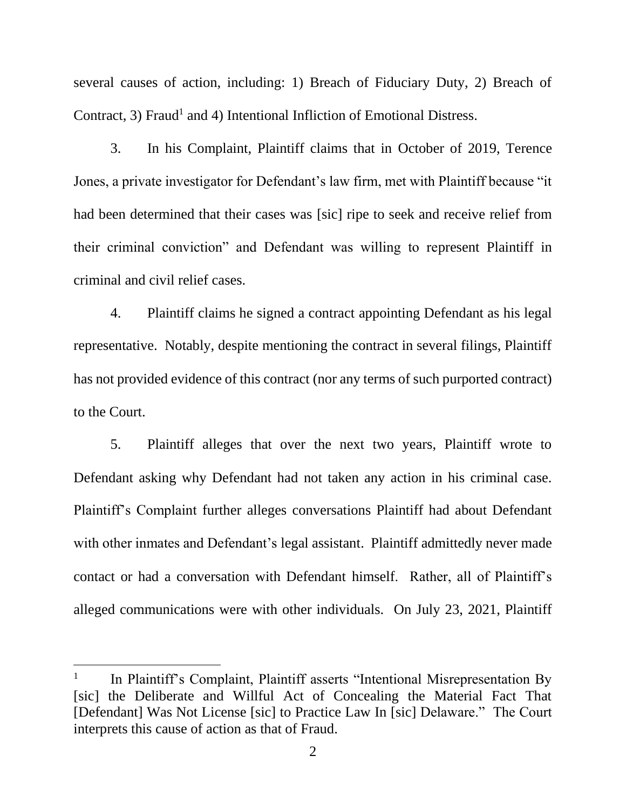several causes of action, including: 1) Breach of Fiduciary Duty, 2) Breach of Contract, 3) Fraud<sup>1</sup> and 4) Intentional Infliction of Emotional Distress.

3. In his Complaint, Plaintiff claims that in October of 2019, Terence Jones, a private investigator for Defendant's law firm, met with Plaintiff because "it had been determined that their cases was [sic] ripe to seek and receive relief from their criminal conviction" and Defendant was willing to represent Plaintiff in criminal and civil relief cases.

4. Plaintiff claims he signed a contract appointing Defendant as his legal representative. Notably, despite mentioning the contract in several filings, Plaintiff has not provided evidence of this contract (nor any terms of such purported contract) to the Court.

5. Plaintiff alleges that over the next two years, Plaintiff wrote to Defendant asking why Defendant had not taken any action in his criminal case. Plaintiff's Complaint further alleges conversations Plaintiff had about Defendant with other inmates and Defendant's legal assistant. Plaintiff admittedly never made contact or had a conversation with Defendant himself. Rather, all of Plaintiff's alleged communications were with other individuals. On July 23, 2021, Plaintiff

<sup>1</sup> In Plaintiff's Complaint, Plaintiff asserts "Intentional Misrepresentation By [sic] the Deliberate and Willful Act of Concealing the Material Fact That [Defendant] Was Not License [sic] to Practice Law In [sic] Delaware." The Court interprets this cause of action as that of Fraud.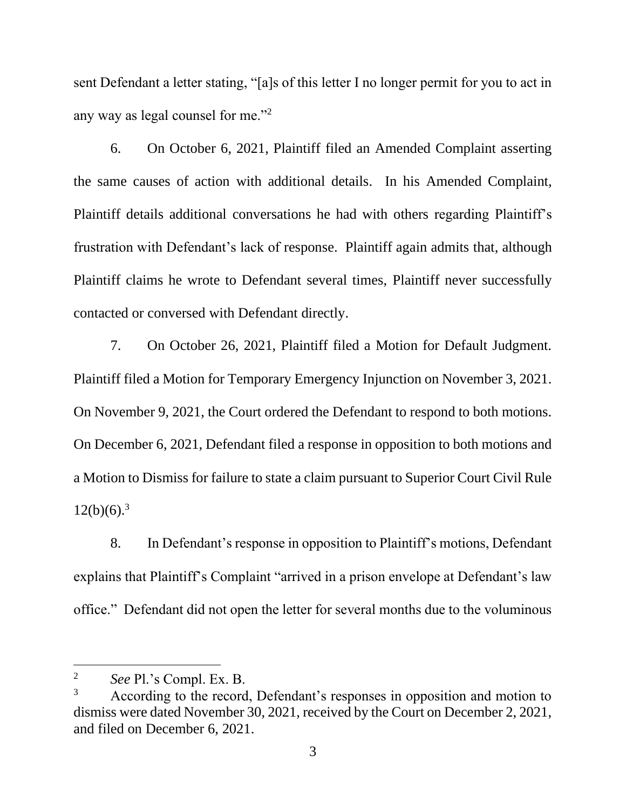sent Defendant a letter stating, "[a]s of this letter I no longer permit for you to act in any way as legal counsel for me."<sup>2</sup>

6. On October 6, 2021, Plaintiff filed an Amended Complaint asserting the same causes of action with additional details. In his Amended Complaint, Plaintiff details additional conversations he had with others regarding Plaintiff's frustration with Defendant's lack of response. Plaintiff again admits that, although Plaintiff claims he wrote to Defendant several times, Plaintiff never successfully contacted or conversed with Defendant directly.

7. On October 26, 2021, Plaintiff filed a Motion for Default Judgment. Plaintiff filed a Motion for Temporary Emergency Injunction on November 3, 2021. On November 9, 2021, the Court ordered the Defendant to respond to both motions. On December 6, 2021, Defendant filed a response in opposition to both motions and a Motion to Dismiss for failure to state a claim pursuant to Superior Court Civil Rule  $12(b)(6).$ <sup>3</sup>

8. In Defendant's response in opposition to Plaintiff's motions, Defendant explains that Plaintiff's Complaint "arrived in a prison envelope at Defendant's law office." Defendant did not open the letter for several months due to the voluminous

<sup>2</sup> *See* Pl.'s Compl. Ex. B.

<sup>&</sup>lt;sup>3</sup> According to the record, Defendant's responses in opposition and motion to dismiss were dated November 30, 2021, received by the Court on December 2, 2021, and filed on December 6, 2021.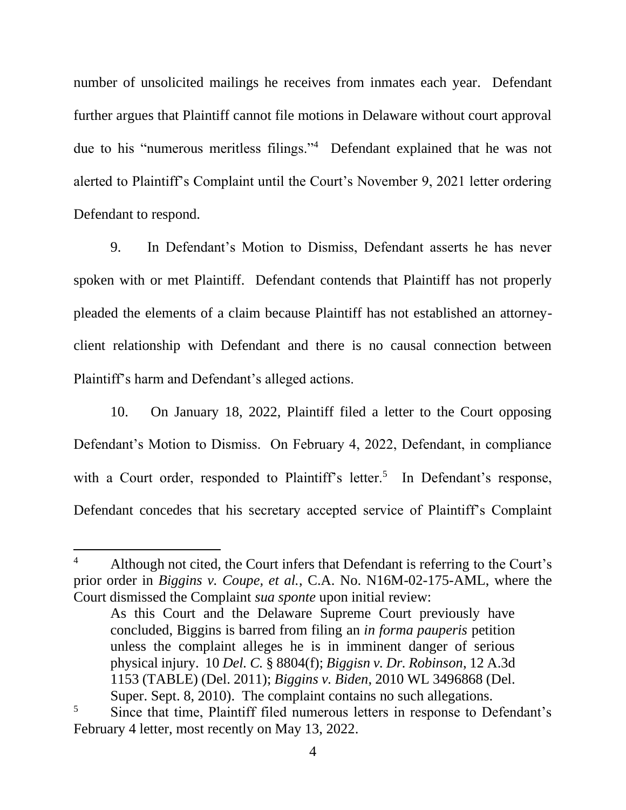number of unsolicited mailings he receives from inmates each year. Defendant further argues that Plaintiff cannot file motions in Delaware without court approval due to his "numerous meritless filings."<sup>4</sup> Defendant explained that he was not alerted to Plaintiff's Complaint until the Court's November 9, 2021 letter ordering Defendant to respond.

9. In Defendant's Motion to Dismiss, Defendant asserts he has never spoken with or met Plaintiff. Defendant contends that Plaintiff has not properly pleaded the elements of a claim because Plaintiff has not established an attorneyclient relationship with Defendant and there is no causal connection between Plaintiff's harm and Defendant's alleged actions.

10. On January 18, 2022, Plaintiff filed a letter to the Court opposing Defendant's Motion to Dismiss. On February 4, 2022, Defendant, in compliance with a Court order, responded to Plaintiff's letter.<sup>5</sup> In Defendant's response, Defendant concedes that his secretary accepted service of Plaintiff's Complaint

Although not cited, the Court infers that Defendant is referring to the Court's prior order in *Biggins v. Coupe, et al.*, C.A. No. N16M-02-175-AML, where the Court dismissed the Complaint *sua sponte* upon initial review:

As this Court and the Delaware Supreme Court previously have concluded, Biggins is barred from filing an *in forma pauperis* petition unless the complaint alleges he is in imminent danger of serious physical injury. 10 *Del. C.* § 8804(f); *Biggisn v. Dr. Robinson*, 12 A.3d 1153 (TABLE) (Del. 2011); *Biggins v. Biden*, 2010 WL 3496868 (Del. Super. Sept. 8, 2010). The complaint contains no such allegations.

<sup>&</sup>lt;sup>5</sup> Since that time, Plaintiff filed numerous letters in response to Defendant's February 4 letter, most recently on May 13, 2022.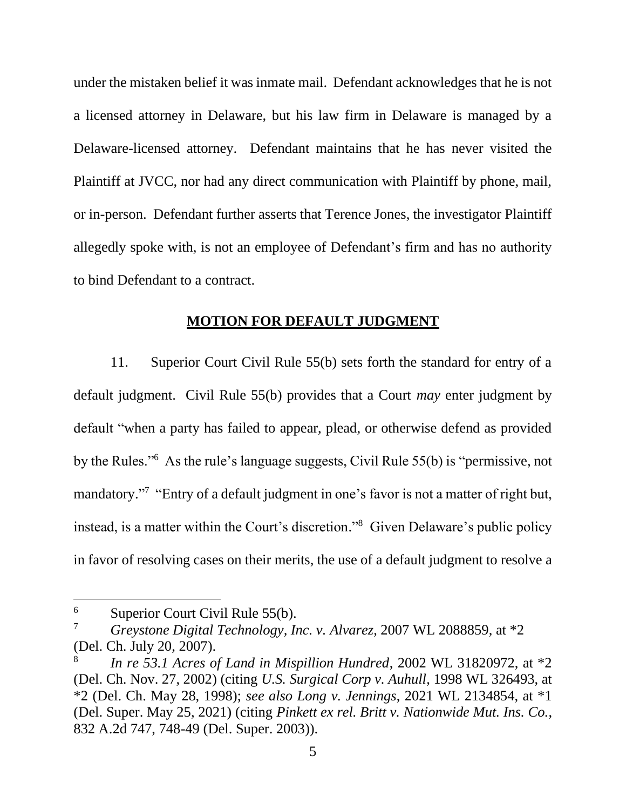under the mistaken belief it was inmate mail. Defendant acknowledges that he is not a licensed attorney in Delaware, but his law firm in Delaware is managed by a Delaware-licensed attorney. Defendant maintains that he has never visited the Plaintiff at JVCC, nor had any direct communication with Plaintiff by phone, mail, or in-person. Defendant further asserts that Terence Jones, the investigator Plaintiff allegedly spoke with, is not an employee of Defendant's firm and has no authority to bind Defendant to a contract.

### **MOTION FOR DEFAULT JUDGMENT**

11. Superior Court Civil Rule 55(b) sets forth the standard for entry of a default judgment. Civil Rule 55(b) provides that a Court *may* enter judgment by default "when a party has failed to appear, plead, or otherwise defend as provided by the Rules."<sup>6</sup> As the rule's language suggests, Civil Rule 55(b) is "permissive, not mandatory."<sup>7</sup> "Entry of a default judgment in one's favor is not a matter of right but, instead, is a matter within the Court's discretion." 8 Given Delaware's public policy in favor of resolving cases on their merits, the use of a default judgment to resolve a

 $6$  Superior Court Civil Rule 55(b).

<sup>7</sup> *Greystone Digital Technology, Inc. v. Alvarez*, 2007 WL 2088859, at \*2 (Del. Ch. July 20, 2007).

<sup>8</sup> *In re 53.1 Acres of Land in Mispillion Hundred*, 2002 WL 31820972, at \*2 (Del. Ch. Nov. 27, 2002) (citing *U.S. Surgical Corp v. Auhull*, 1998 WL 326493, at \*2 (Del. Ch. May 28, 1998); *see also Long v. Jennings*, 2021 WL 2134854, at \*1 (Del. Super. May 25, 2021) (citing *Pinkett ex rel. Britt v. Nationwide Mut. Ins. Co.*, 832 A.2d 747, 748-49 (Del. Super. 2003)).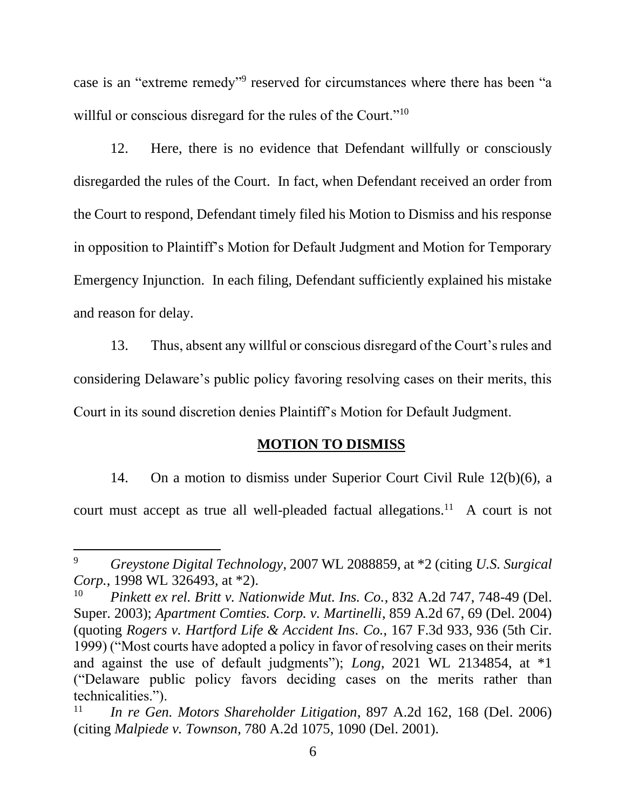case is an "extreme remedy"<sup>9</sup> reserved for circumstances where there has been "a willful or conscious disregard for the rules of the Court."<sup>10</sup>

12. Here, there is no evidence that Defendant willfully or consciously disregarded the rules of the Court. In fact, when Defendant received an order from the Court to respond, Defendant timely filed his Motion to Dismiss and his response in opposition to Plaintiff's Motion for Default Judgment and Motion for Temporary Emergency Injunction. In each filing, Defendant sufficiently explained his mistake and reason for delay.

13. Thus, absent any willful or conscious disregard of the Court's rules and considering Delaware's public policy favoring resolving cases on their merits, this Court in its sound discretion denies Plaintiff's Motion for Default Judgment.

### **MOTION TO DISMISS**

14. On a motion to dismiss under Superior Court Civil Rule 12(b)(6), a court must accept as true all well-pleaded factual allegations.<sup>11</sup> A court is not

<sup>9</sup> *Greystone Digital Technology*, 2007 WL 2088859, at \*2 (citing *U.S. Surgical Corp.*, 1998 WL 326493, at \*2).

<sup>10</sup> *Pinkett ex rel. Britt v. Nationwide Mut. Ins. Co.*, 832 A.2d 747, 748-49 (Del. Super. 2003); *Apartment Comties. Corp. v. Martinelli*, 859 A.2d 67, 69 (Del. 2004) (quoting *Rogers v. Hartford Life & Accident Ins. Co.*, 167 F.3d 933, 936 (5th Cir. 1999) ("Most courts have adopted a policy in favor of resolving cases on their merits and against the use of default judgments"); *Long*, 2021 WL 2134854, at \*1 ("Delaware public policy favors deciding cases on the merits rather than technicalities.").

<sup>11</sup> *In re Gen. Motors Shareholder Litigation*, 897 A.2d 162, 168 (Del. 2006) (citing *Malpiede v. Townson*, 780 A.2d 1075, 1090 (Del. 2001).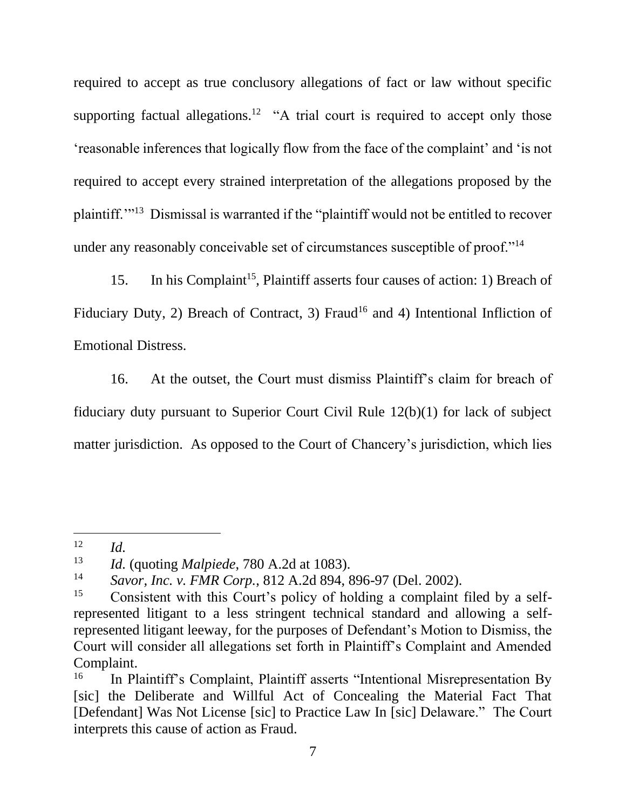required to accept as true conclusory allegations of fact or law without specific supporting factual allegations.<sup>12</sup> "A trial court is required to accept only those 'reasonable inferences that logically flow from the face of the complaint' and 'is not required to accept every strained interpretation of the allegations proposed by the plaintiff."<sup>13</sup> Dismissal is warranted if the "plaintiff would not be entitled to recover under any reasonably conceivable set of circumstances susceptible of proof."<sup>14</sup>

15. In his Complaint<sup>15</sup>, Plaintiff asserts four causes of action: 1) Breach of Fiduciary Duty, 2) Breach of Contract, 3) Fraud<sup>16</sup> and 4) Intentional Infliction of Emotional Distress.

16. At the outset, the Court must dismiss Plaintiff's claim for breach of fiduciary duty pursuant to Superior Court Civil Rule 12(b)(1) for lack of subject matter jurisdiction. As opposed to the Court of Chancery's jurisdiction, which lies

 $12$  *Id.* 

<sup>13</sup> *Id.* (quoting *Malpiede*, 780 A.2d at 1083).

<sup>14</sup> *Savor, Inc. v. FMR Corp.*, 812 A.2d 894, 896-97 (Del. 2002).

<sup>&</sup>lt;sup>15</sup> Consistent with this Court's policy of holding a complaint filed by a selfrepresented litigant to a less stringent technical standard and allowing a selfrepresented litigant leeway, for the purposes of Defendant's Motion to Dismiss, the Court will consider all allegations set forth in Plaintiff's Complaint and Amended Complaint.

<sup>&</sup>lt;sup>16</sup> In Plaintiff's Complaint, Plaintiff asserts "Intentional Misrepresentation By [sic] the Deliberate and Willful Act of Concealing the Material Fact That [Defendant] Was Not License [sic] to Practice Law In [sic] Delaware." The Court interprets this cause of action as Fraud.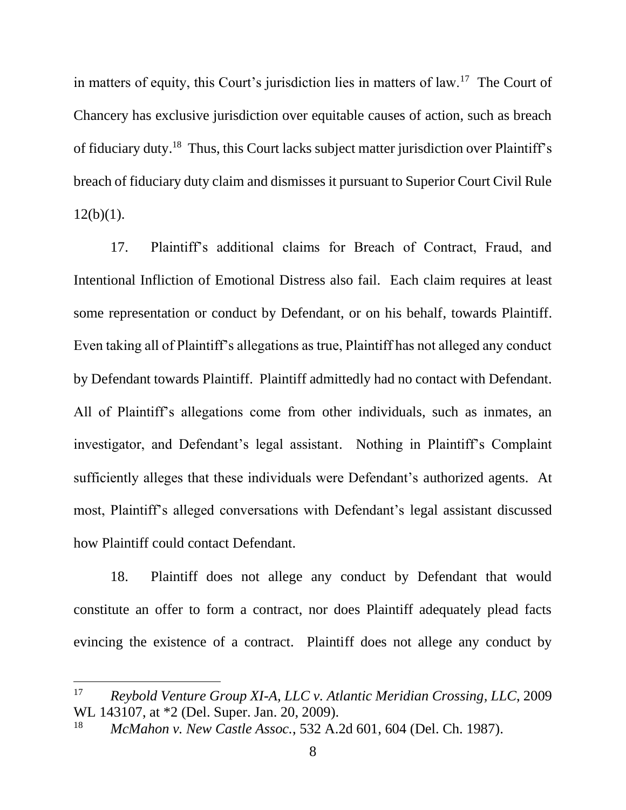in matters of equity, this Court's jurisdiction lies in matters of law.<sup>17</sup> The Court of Chancery has exclusive jurisdiction over equitable causes of action, such as breach of fiduciary duty.<sup>18</sup> Thus, this Court lacks subject matter jurisdiction over Plaintiff's breach of fiduciary duty claim and dismisses it pursuant to Superior Court Civil Rule  $12(b)(1)$ .

17. Plaintiff's additional claims for Breach of Contract, Fraud, and Intentional Infliction of Emotional Distress also fail. Each claim requires at least some representation or conduct by Defendant, or on his behalf, towards Plaintiff. Even taking all of Plaintiff's allegations as true, Plaintiff has not alleged any conduct by Defendant towards Plaintiff. Plaintiff admittedly had no contact with Defendant. All of Plaintiff's allegations come from other individuals, such as inmates, an investigator, and Defendant's legal assistant. Nothing in Plaintiff's Complaint sufficiently alleges that these individuals were Defendant's authorized agents. At most, Plaintiff's alleged conversations with Defendant's legal assistant discussed how Plaintiff could contact Defendant.

18. Plaintiff does not allege any conduct by Defendant that would constitute an offer to form a contract, nor does Plaintiff adequately plead facts evincing the existence of a contract. Plaintiff does not allege any conduct by

<sup>17</sup> *Reybold Venture Group XI-A, LLC v. Atlantic Meridian Crossing, LLC*, 2009 WL 143107, at \*2 (Del. Super. Jan. 20, 2009).

<sup>18</sup> *McMahon v. New Castle Assoc.*, 532 A.2d 601, 604 (Del. Ch. 1987).